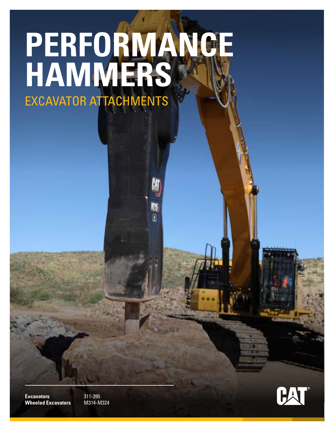# **PERFORMANCE HAMMERS** EXCAVATOR ATTACHMENTS

N26  $\bar{I}$ 



**Excavators** 311-395 **Wheeled Excavators** M314-M324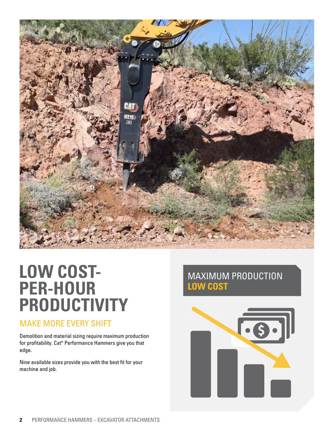

# **LOW COST-PER-HOUR PRODUCTIVITY**

### MAKE MORE EVERY SHIFT

Demolition and material sizing require maximum production for profitability. Cat® Performance Hammers give you that edge.

Nine available sizes provide you with the best fit for your machine and job.

## MAXIMUM PRODUCTION **LOW COST**

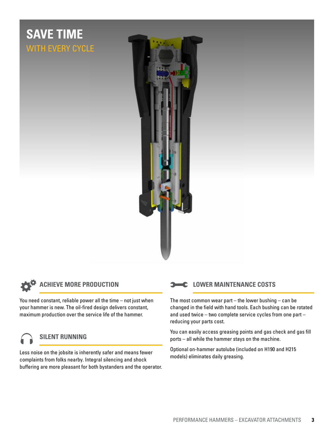# **SAVE TIME** WITH EVERY CYCLE



$$
\boldsymbol{\phi}^{\phi}
$$

#### **ACHIEVE MORE PRODUCTION**

You need constant, reliable power all the time – not just when your hammer is new. The oil-fired design delivers constant, maximum production over the service life of the hammer.

#### **SILENT RUNNING**

Less noise on the jobsite is inherently safer and means fewer<br>completing daily greasing.<br>nodels) eliminates daily greasing. complaints from folks nearby. Integral silencing and shock buffering are more pleasant for both bystanders and the operator.

#### **LOWER MAINTENANCE COSTS**

The most common wear part – the lower bushing – can be changed in the field with hand tools. Each bushing can be rotated and used twice – two complete service cycles from one part – reducing your parts cost.

You can easily access greasing points and gas check and gas fill ports – all while the hammer stays on the machine.

Optional on-hammer autolube (included on H190 and H215